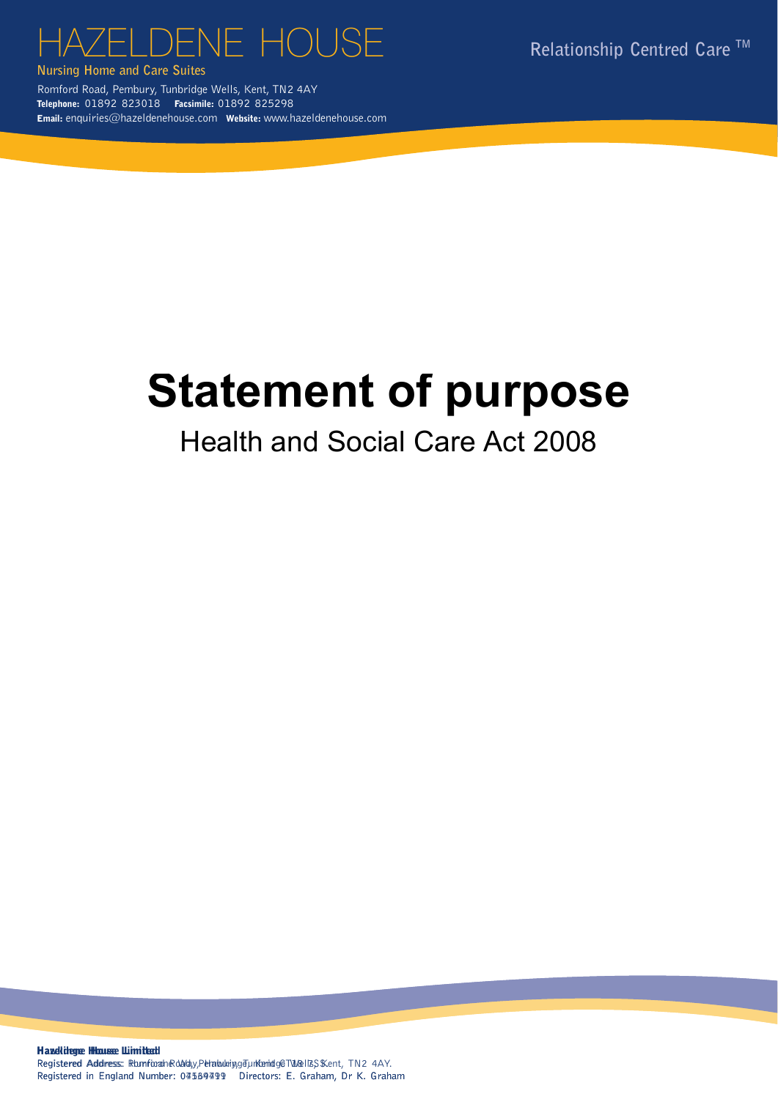# $\begin{array}{ccc} \hbox{HAZELDENE HOUSE} & \multicolumn{2}{c}{\text{Relationship Centred Care}} \end{array}$

**Nursing Home and Care Suites Nursing Home and Care Suites**

Romford Road, Pembury, Tunbridge Wells, Kent, TN2 4AY Telephone: 01892 823018 Facsimile: 01892 825298 Email: enquiries@hazeldenehouse.com Website: www.hazeldenehouse.com Registered in England Number: 04539791 Directors: E. Graham, Dr. R. Registered in England Number: 04539791<br>Registered in England Road, Pembury, The Control Road, Pembury, The Control Road, Pembury, The Control Road, The Co

# Statement of purpose

## Health and Social Care Act 2008

Haxelidegre Hlousse Limited! Registered Address: Ramforah Road, Perabuking Tunkenidge Tulel Is S Kent, TN2 4AY. Registered in England Number: 04569499 Directors: E. Graham, Dr K. Graham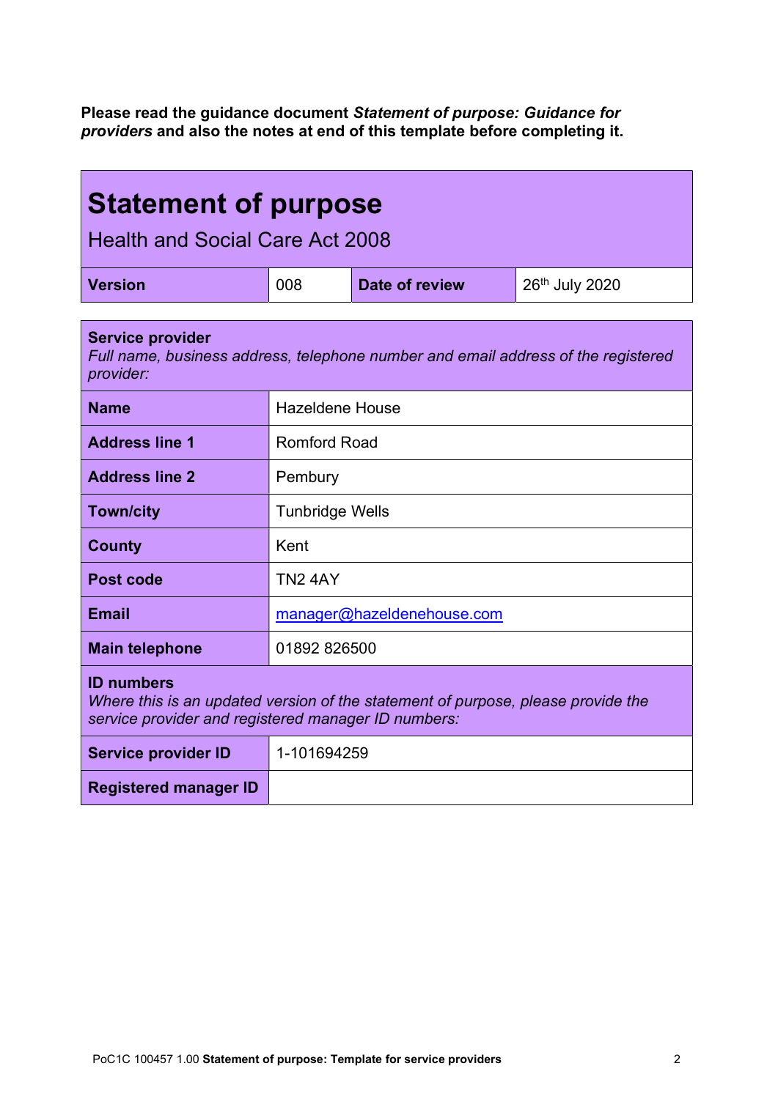Please read the guidance document Statement of purpose: Guidance for providers and also the notes at end of this template before completing it.

| <b>Statement of purpose</b><br><b>Health and Social Care Act 2008</b>                                                                                        |                            |                |                |
|--------------------------------------------------------------------------------------------------------------------------------------------------------------|----------------------------|----------------|----------------|
| <b>Version</b>                                                                                                                                               | 008                        | Date of review | 26th July 2020 |
| <b>Service provider</b><br>Full name, business address, telephone number and email address of the registered<br>provider:                                    |                            |                |                |
| <b>Name</b>                                                                                                                                                  | <b>Hazeldene House</b>     |                |                |
| <b>Address line 1</b>                                                                                                                                        | Romford Road               |                |                |
| <b>Address line 2</b>                                                                                                                                        | Pembury                    |                |                |
| <b>Town/city</b>                                                                                                                                             | <b>Tunbridge Wells</b>     |                |                |
| <b>County</b>                                                                                                                                                | Kent                       |                |                |
| Post code                                                                                                                                                    | <b>TN2 4AY</b>             |                |                |
| <b>Email</b>                                                                                                                                                 | manager@hazeldenehouse.com |                |                |
| <b>Main telephone</b>                                                                                                                                        | 01892 826500               |                |                |
| <b>ID numbers</b><br>Where this is an updated version of the statement of purpose, please provide the<br>service provider and registered manager ID numbers: |                            |                |                |
| <b>Service provider ID</b>                                                                                                                                   | 1-101694259                |                |                |
| <b>Registered manager ID</b>                                                                                                                                 |                            |                |                |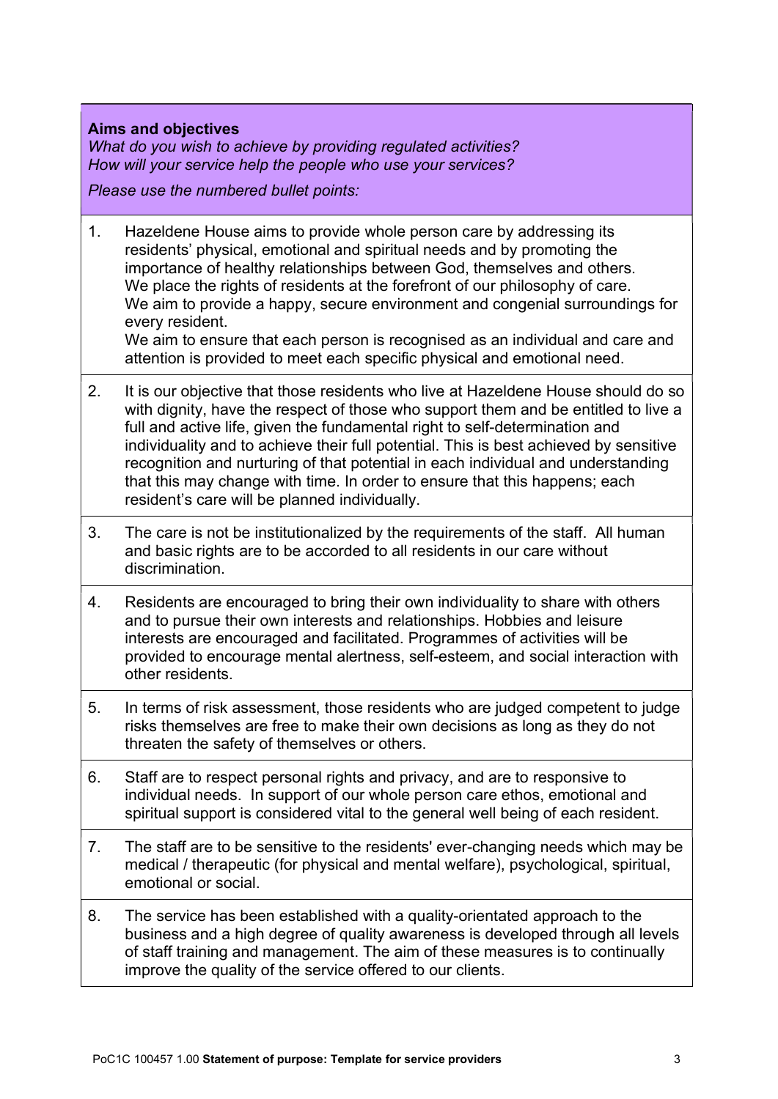#### Aims and objectives

What do you wish to achieve by providing regulated activities? How will your service help the people who use your services?

Please use the numbered bullet points:

1. Hazeldene House aims to provide whole person care by addressing its residents' physical, emotional and spiritual needs and by promoting the importance of healthy relationships between God, themselves and others. We place the rights of residents at the forefront of our philosophy of care. We aim to provide a happy, secure environment and congenial surroundings for every resident.

We aim to ensure that each person is recognised as an individual and care and attention is provided to meet each specific physical and emotional need.

- 2. It is our objective that those residents who live at Hazeldene House should do so with dignity, have the respect of those who support them and be entitled to live a full and active life, given the fundamental right to self-determination and individuality and to achieve their full potential. This is best achieved by sensitive recognition and nurturing of that potential in each individual and understanding that this may change with time. In order to ensure that this happens; each resident's care will be planned individually.
- 3. The care is not be institutionalized by the requirements of the staff. All human and basic rights are to be accorded to all residents in our care without discrimination.
- 4. Residents are encouraged to bring their own individuality to share with others and to pursue their own interests and relationships. Hobbies and leisure interests are encouraged and facilitated. Programmes of activities will be provided to encourage mental alertness, self-esteem, and social interaction with other residents.
- 5. In terms of risk assessment, those residents who are judged competent to judge risks themselves are free to make their own decisions as long as they do not threaten the safety of themselves or others.
- 6. Staff are to respect personal rights and privacy, and are to responsive to individual needs. In support of our whole person care ethos, emotional and spiritual support is considered vital to the general well being of each resident.
- 7. The staff are to be sensitive to the residents' ever-changing needs which may be medical / therapeutic (for physical and mental welfare), psychological, spiritual, emotional or social.
- 8. The service has been established with a quality-orientated approach to the business and a high degree of quality awareness is developed through all levels of staff training and management. The aim of these measures is to continually improve the quality of the service offered to our clients.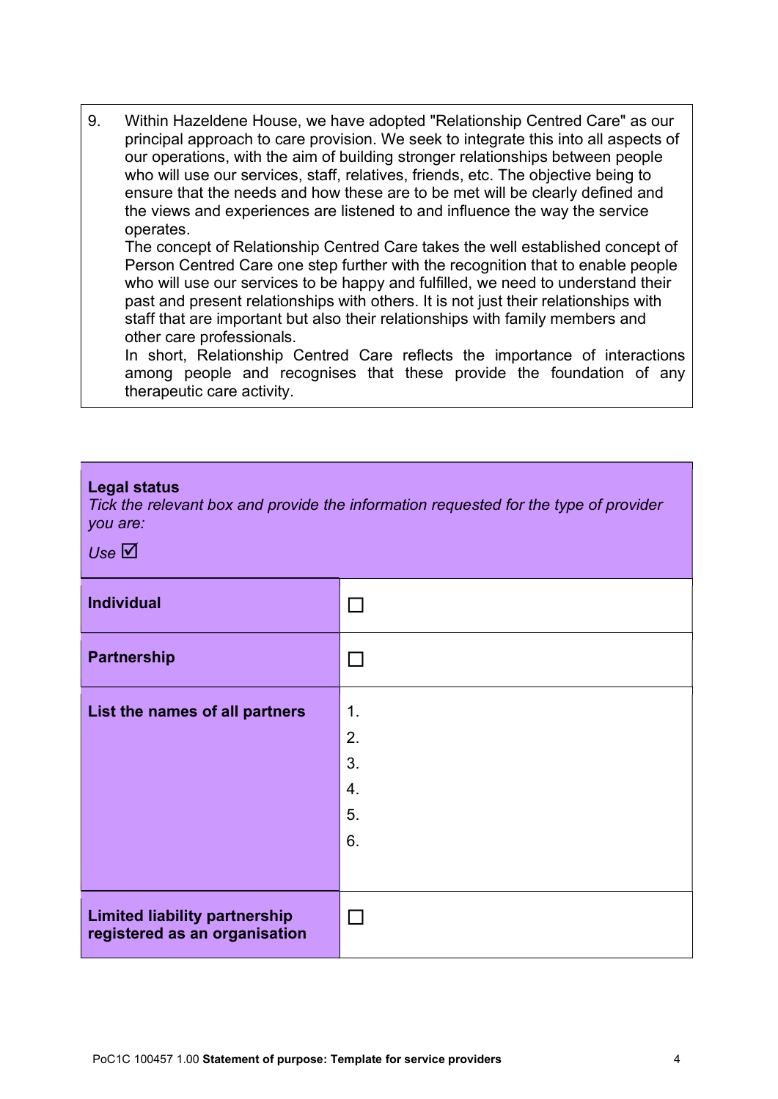9. Within Hazeldene House, we have adopted "Relationship Centred Care" as our principal approach to care provision. We seek to integrate this into all aspects of our operations, with the aim of building stronger relationships between people who will use our services, staff, relatives, friends, etc. The objective being to ensure that the needs and how these are to be met will be clearly defined and the views and experiences are listened to and influence the way the service operates.

The concept of Relationship Centred Care takes the well established concept of Person Centred Care one step further with the recognition that to enable people who will use our services to be happy and fulfilled, we need to understand their past and present relationships with others. It is not just their relationships with staff that are important but also their relationships with family members and other care professionals.

In short, Relationship Centred Care reflects the importance of interactions among people and recognises that these provide the foundation of any therapeutic care activity.

#### Legal status

Tick the relevant box and provide the information requested for the type of provider you are:

Use  $\boxtimes$ 

| <b>Individual</b>                                                     |    |
|-----------------------------------------------------------------------|----|
| <b>Partnership</b>                                                    |    |
| List the names of all partners                                        | 1. |
|                                                                       | 2. |
|                                                                       | 3. |
|                                                                       | 4. |
|                                                                       | 5. |
|                                                                       | 6. |
|                                                                       |    |
| <b>Limited liability partnership</b><br>registered as an organisation |    |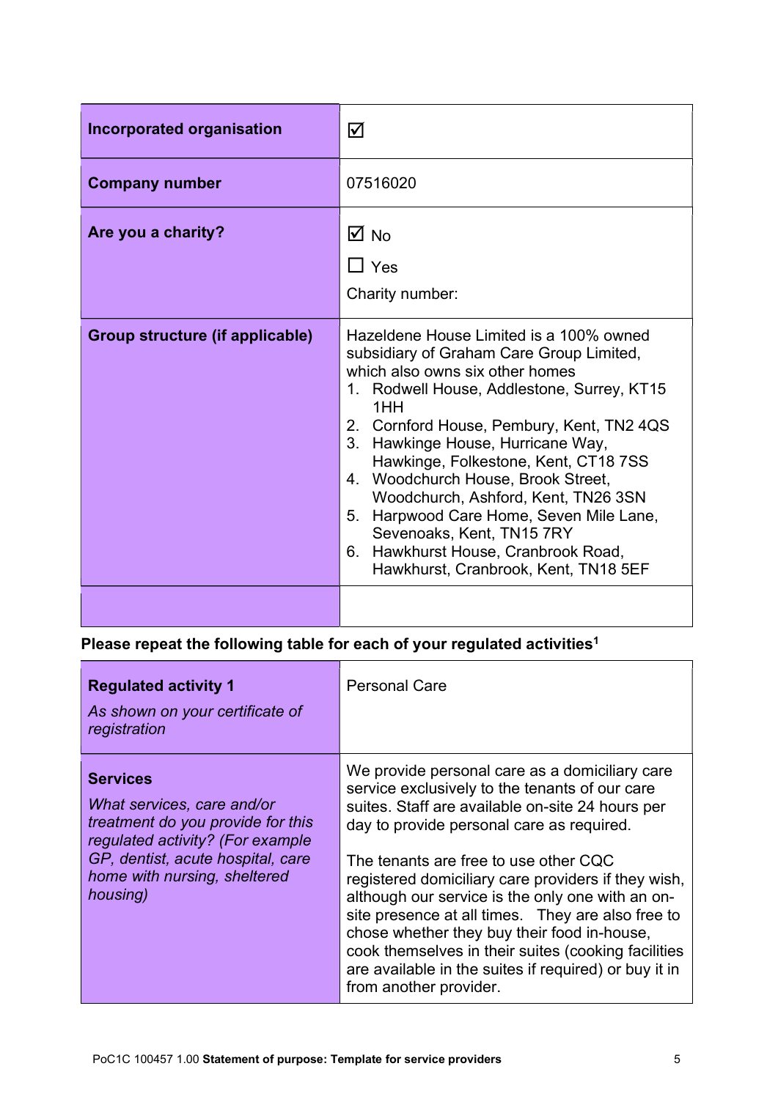| <b>Incorporated organisation</b> | ☑                                                                                                                                                                                                                                                                                                                                                                                                                                                                                                                                                       |
|----------------------------------|---------------------------------------------------------------------------------------------------------------------------------------------------------------------------------------------------------------------------------------------------------------------------------------------------------------------------------------------------------------------------------------------------------------------------------------------------------------------------------------------------------------------------------------------------------|
| <b>Company number</b>            | 07516020                                                                                                                                                                                                                                                                                                                                                                                                                                                                                                                                                |
| Are you a charity?               | M ⊠<br>$\Box$ Yes<br>Charity number:                                                                                                                                                                                                                                                                                                                                                                                                                                                                                                                    |
| Group structure (if applicable)  | Hazeldene House Limited is a 100% owned<br>subsidiary of Graham Care Group Limited,<br>which also owns six other homes<br>1. Rodwell House, Addlestone, Surrey, KT15<br>1HH<br>2. Cornford House, Pembury, Kent, TN2 4QS<br>Hawkinge House, Hurricane Way,<br>$3_{-}$<br>Hawkinge, Folkestone, Kent, CT18 7SS<br>4. Woodchurch House, Brook Street,<br>Woodchurch, Ashford, Kent, TN26 3SN<br>Harpwood Care Home, Seven Mile Lane,<br>5.<br>Sevenoaks, Kent, TN15 7RY<br>Hawkhurst House, Cranbrook Road,<br>6.<br>Hawkhurst, Cranbrook, Kent, TN18 5EF |
|                                  |                                                                                                                                                                                                                                                                                                                                                                                                                                                                                                                                                         |

### Please repeat the following table for each of your regulated activities<sup>1</sup>

| <b>Regulated activity 1</b><br>As shown on your certificate of<br>registration                                                                                                                          | <b>Personal Care</b>                                                                                                                                                                                                                                                                                                                                                                                                                                                                                                                                                                                |
|---------------------------------------------------------------------------------------------------------------------------------------------------------------------------------------------------------|-----------------------------------------------------------------------------------------------------------------------------------------------------------------------------------------------------------------------------------------------------------------------------------------------------------------------------------------------------------------------------------------------------------------------------------------------------------------------------------------------------------------------------------------------------------------------------------------------------|
| <b>Services</b><br>What services, care and/or<br>treatment do you provide for this<br>regulated activity? (For example<br>GP, dentist, acute hospital, care<br>home with nursing, sheltered<br>housing) | We provide personal care as a domiciliary care<br>service exclusively to the tenants of our care<br>suites. Staff are available on-site 24 hours per<br>day to provide personal care as required.<br>The tenants are free to use other CQC<br>registered domiciliary care providers if they wish,<br>although our service is the only one with an on-<br>site presence at all times. They are also free to<br>chose whether they buy their food in-house,<br>cook themselves in their suites (cooking facilities<br>are available in the suites if required) or buy it in<br>from another provider. |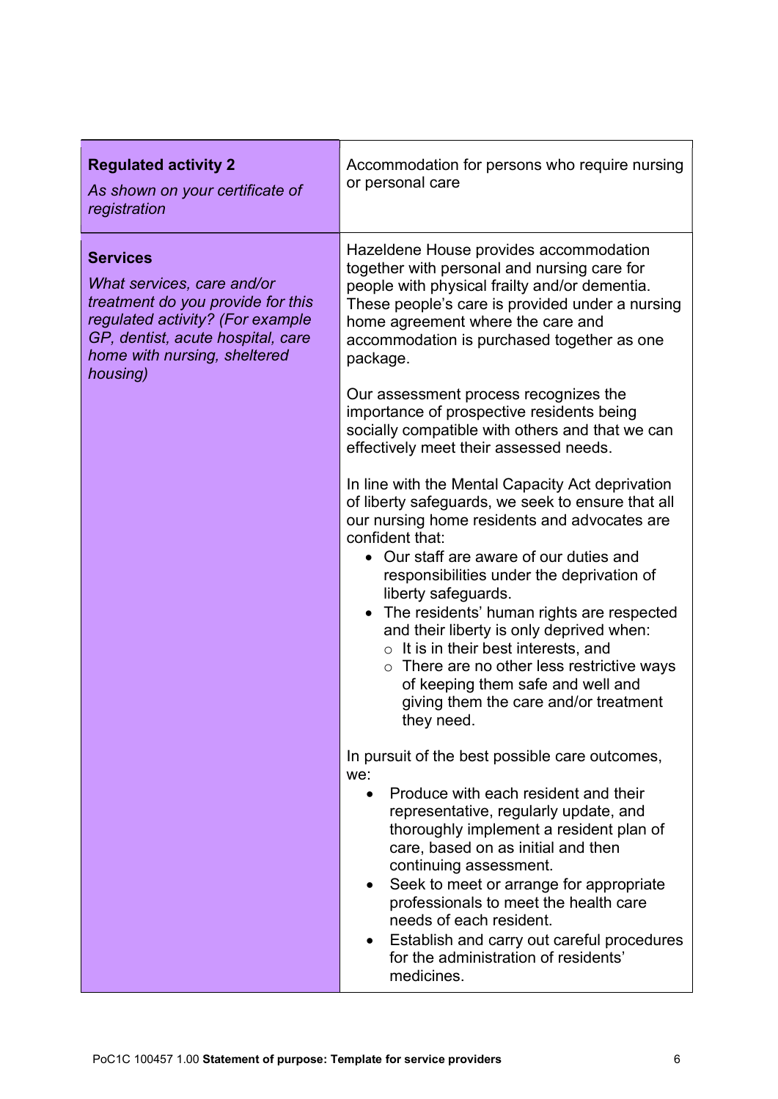| Hazeldene House provides accommodation<br><b>Services</b><br>together with personal and nursing care for<br>What services, care and/or<br>people with physical frailty and/or dementia.<br>treatment do you provide for this<br>These people's care is provided under a nursing<br>regulated activity? (For example<br>home agreement where the care and<br>GP, dentist, acute hospital, care<br>accommodation is purchased together as one<br>home with nursing, sheltered<br>package.<br>housing)<br>Our assessment process recognizes the<br>importance of prospective residents being<br>socially compatible with others and that we can<br>effectively meet their assessed needs.<br>In line with the Mental Capacity Act deprivation                                                                                                                                                                                                                 | <b>Regulated activity 2</b><br>As shown on your certificate of<br>registration | Accommodation for persons who require nursing<br>or personal care |
|------------------------------------------------------------------------------------------------------------------------------------------------------------------------------------------------------------------------------------------------------------------------------------------------------------------------------------------------------------------------------------------------------------------------------------------------------------------------------------------------------------------------------------------------------------------------------------------------------------------------------------------------------------------------------------------------------------------------------------------------------------------------------------------------------------------------------------------------------------------------------------------------------------------------------------------------------------|--------------------------------------------------------------------------------|-------------------------------------------------------------------|
| our nursing home residents and advocates are<br>confident that:<br>• Our staff are aware of our duties and<br>responsibilities under the deprivation of<br>liberty safeguards.<br>The residents' human rights are respected<br>and their liberty is only deprived when:<br>$\circ$ It is in their best interests, and<br>$\circ$ There are no other less restrictive ways<br>of keeping them safe and well and<br>giving them the care and/or treatment<br>they need.<br>In pursuit of the best possible care outcomes,<br>we:<br>Produce with each resident and their<br>$\bullet$<br>representative, regularly update, and<br>thoroughly implement a resident plan of<br>care, based on as initial and then<br>continuing assessment.<br>Seek to meet or arrange for appropriate<br>professionals to meet the health care<br>needs of each resident.<br>Establish and carry out careful procedures<br>for the administration of residents'<br>medicines. |                                                                                | of liberty safeguards, we seek to ensure that all                 |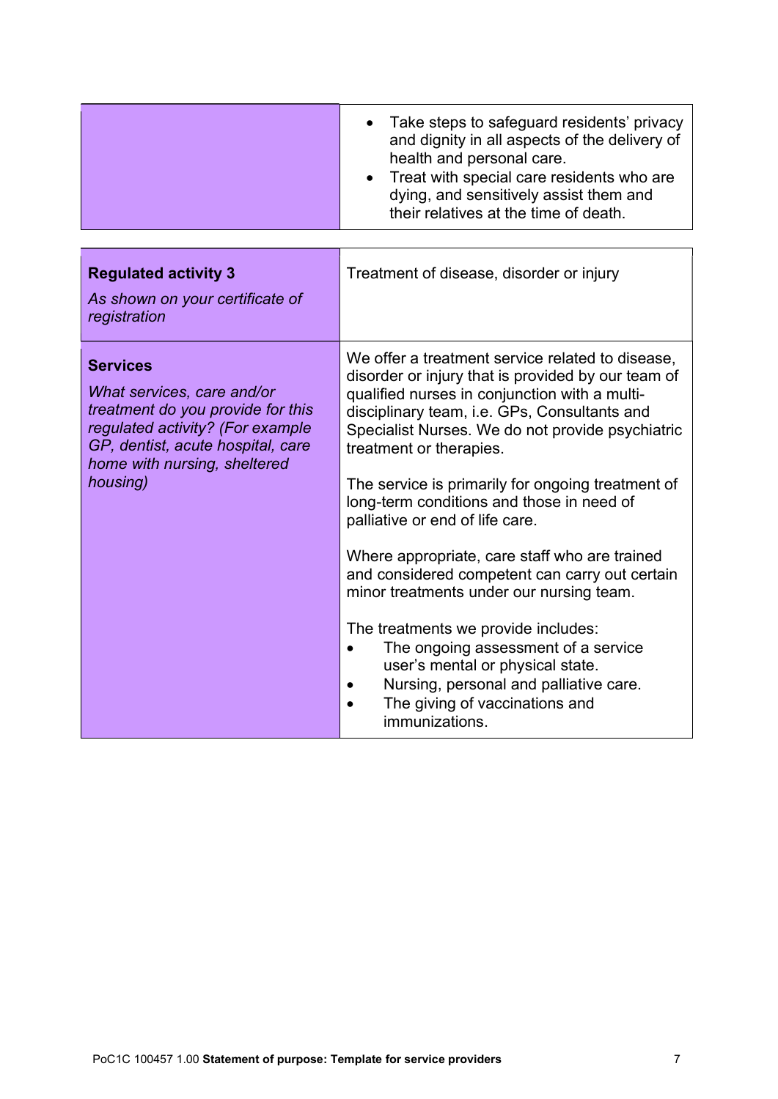|                                                                                                                                                                                                         | Take steps to safeguard residents' privacy<br>and dignity in all aspects of the delivery of<br>health and personal care.<br>Treat with special care residents who are<br>dying, and sensitively assist them and<br>their relatives at the time of death.                                                                                                                                                                                                                                                                                                                                                                                                                                                                                                                                   |
|---------------------------------------------------------------------------------------------------------------------------------------------------------------------------------------------------------|--------------------------------------------------------------------------------------------------------------------------------------------------------------------------------------------------------------------------------------------------------------------------------------------------------------------------------------------------------------------------------------------------------------------------------------------------------------------------------------------------------------------------------------------------------------------------------------------------------------------------------------------------------------------------------------------------------------------------------------------------------------------------------------------|
| <b>Regulated activity 3</b><br>As shown on your certificate of<br>registration                                                                                                                          | Treatment of disease, disorder or injury                                                                                                                                                                                                                                                                                                                                                                                                                                                                                                                                                                                                                                                                                                                                                   |
| <b>Services</b><br>What services, care and/or<br>treatment do you provide for this<br>regulated activity? (For example<br>GP, dentist, acute hospital, care<br>home with nursing, sheltered<br>housing) | We offer a treatment service related to disease,<br>disorder or injury that is provided by our team of<br>qualified nurses in conjunction with a multi-<br>disciplinary team, i.e. GPs, Consultants and<br>Specialist Nurses. We do not provide psychiatric<br>treatment or therapies.<br>The service is primarily for ongoing treatment of<br>long-term conditions and those in need of<br>palliative or end of life care.<br>Where appropriate, care staff who are trained<br>and considered competent can carry out certain<br>minor treatments under our nursing team.<br>The treatments we provide includes:<br>The ongoing assessment of a service<br>user's mental or physical state.<br>Nursing, personal and palliative care.<br>The giving of vaccinations and<br>immunizations. |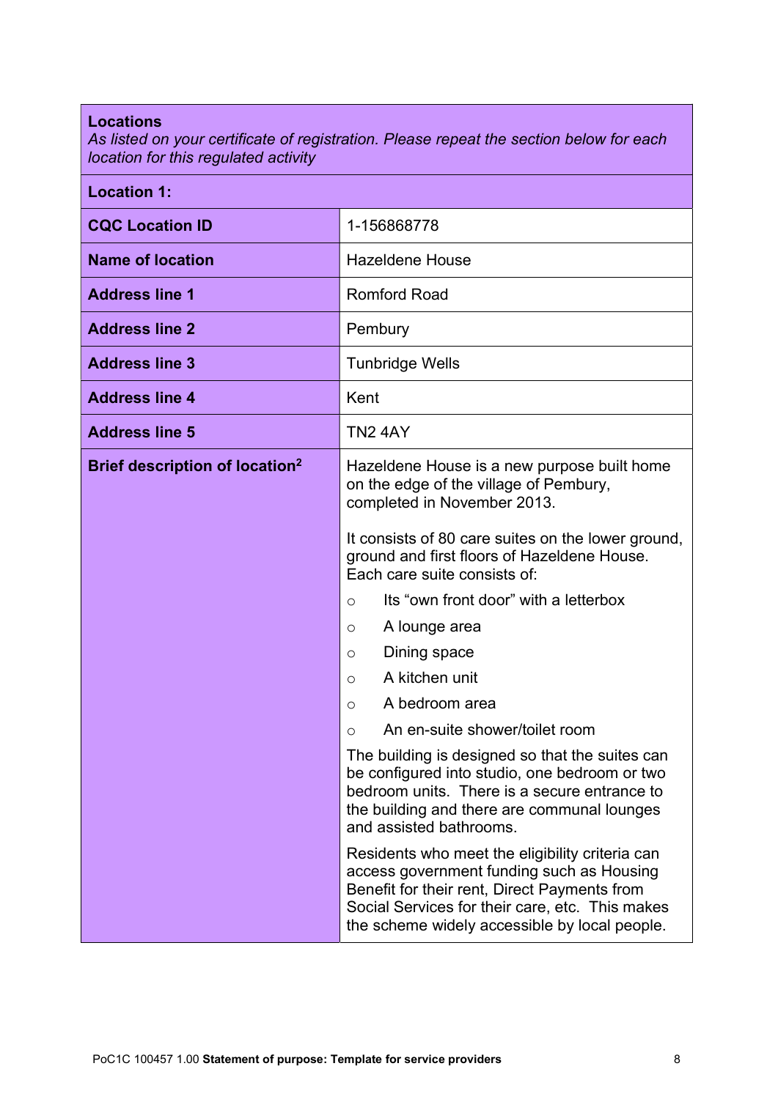#### Locations

As listed on your certificate of registration. Please repeat the section below for each location for this regulated activity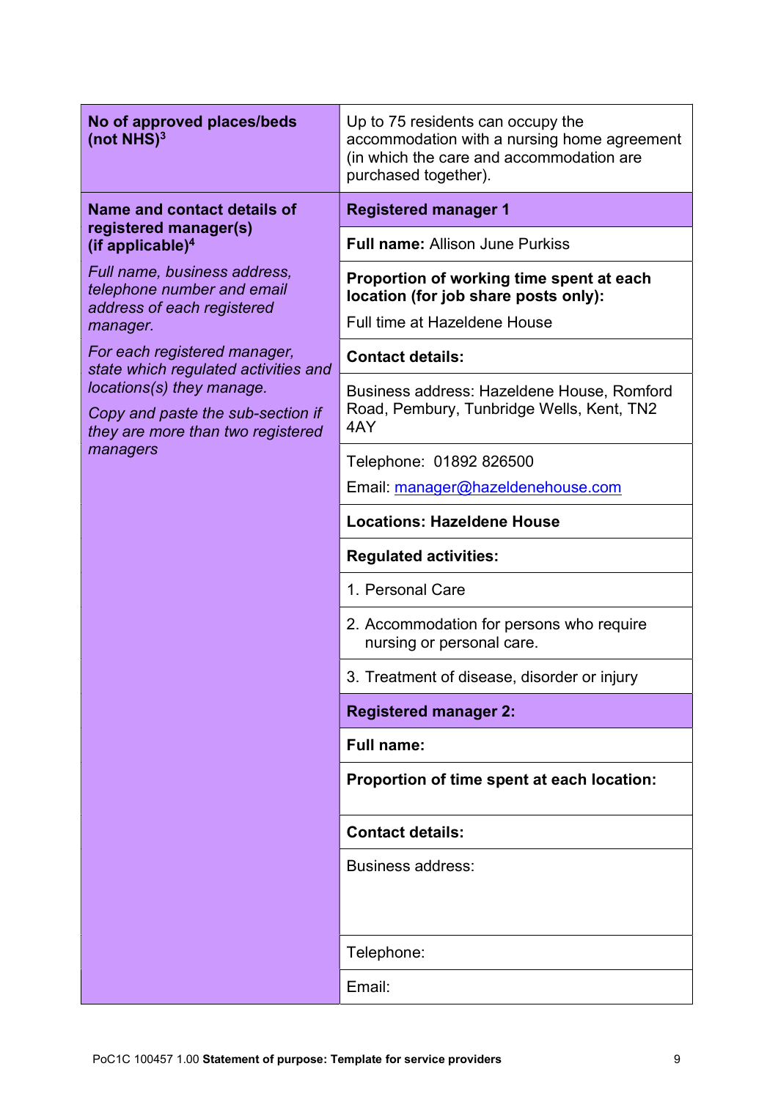| No of approved places/beds<br>(not NHS) <sup>3</sup>                                                            | Up to 75 residents can occupy the<br>accommodation with a nursing home agreement<br>(in which the care and accommodation are<br>purchased together). |  |
|-----------------------------------------------------------------------------------------------------------------|------------------------------------------------------------------------------------------------------------------------------------------------------|--|
| Name and contact details of<br>registered manager(s)<br>(if applicable) $4$                                     | <b>Registered manager 1</b>                                                                                                                          |  |
|                                                                                                                 | <b>Full name: Allison June Purkiss</b>                                                                                                               |  |
| Full name, business address,<br>telephone number and email<br>address of each registered                        | Proportion of working time spent at each<br>location (for job share posts only):<br><b>Full time at Hazeldene House</b>                              |  |
| manager.<br>For each registered manager,                                                                        | <b>Contact details:</b>                                                                                                                              |  |
| state which regulated activities and                                                                            |                                                                                                                                                      |  |
| locations(s) they manage.<br>Copy and paste the sub-section if<br>they are more than two registered<br>managers | Business address: Hazeldene House, Romford<br>Road, Pembury, Tunbridge Wells, Kent, TN2<br>4AY                                                       |  |
|                                                                                                                 | Telephone: 01892 826500                                                                                                                              |  |
|                                                                                                                 | Email: manager@hazeldenehouse.com                                                                                                                    |  |
|                                                                                                                 | <b>Locations: Hazeldene House</b>                                                                                                                    |  |
|                                                                                                                 | <b>Regulated activities:</b>                                                                                                                         |  |
|                                                                                                                 | 1. Personal Care                                                                                                                                     |  |
|                                                                                                                 | 2. Accommodation for persons who require<br>nursing or personal care.                                                                                |  |
|                                                                                                                 | 3. Treatment of disease, disorder or injury                                                                                                          |  |
|                                                                                                                 | <b>Registered manager 2:</b>                                                                                                                         |  |
|                                                                                                                 | <b>Full name:</b>                                                                                                                                    |  |
|                                                                                                                 | Proportion of time spent at each location:                                                                                                           |  |
|                                                                                                                 | <b>Contact details:</b>                                                                                                                              |  |
|                                                                                                                 | Business address:                                                                                                                                    |  |
|                                                                                                                 | Telephone:                                                                                                                                           |  |
|                                                                                                                 | Email:                                                                                                                                               |  |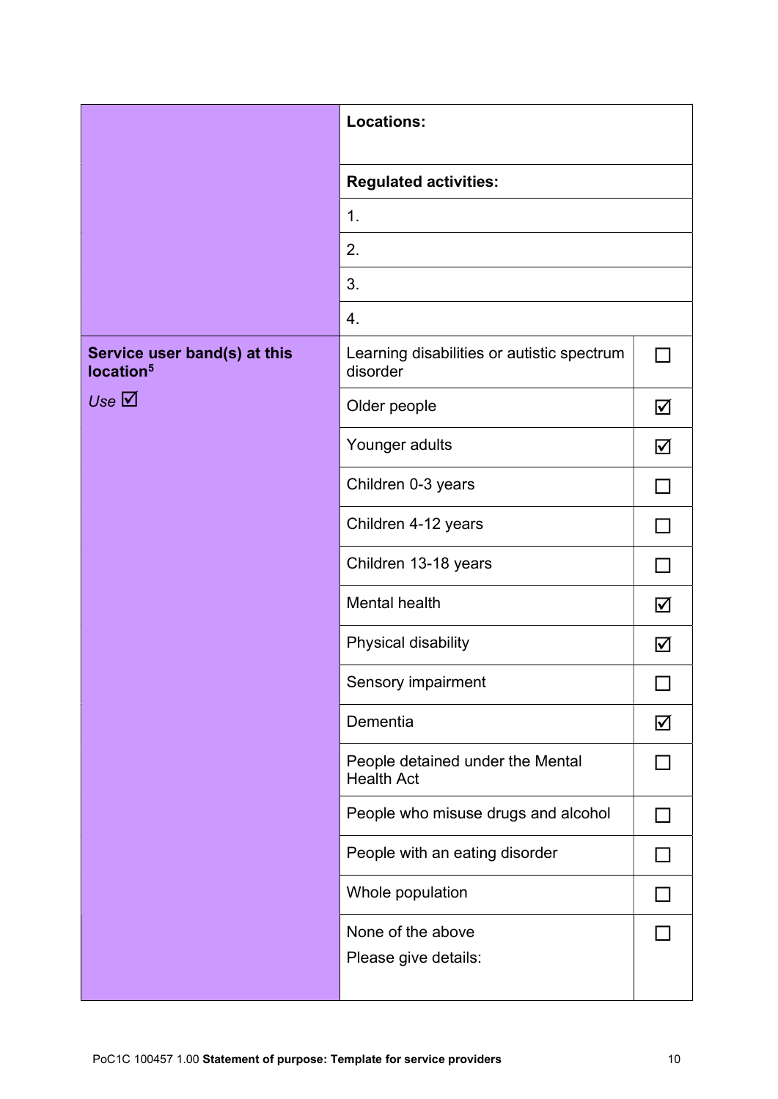| <b>Locations:</b>                                     |                                                        |   |
|-------------------------------------------------------|--------------------------------------------------------|---|
|                                                       | <b>Regulated activities:</b><br>1.                     |   |
|                                                       |                                                        |   |
|                                                       | 2.                                                     |   |
|                                                       | 3.                                                     |   |
|                                                       | 4.                                                     |   |
| Service user band(s) at this<br>location <sup>5</sup> | Learning disabilities or autistic spectrum<br>disorder |   |
| Use $\overline{\boxtimes}$                            | Older people                                           | ☑ |
|                                                       | Younger adults                                         | ☑ |
|                                                       | Children 0-3 years                                     |   |
|                                                       | Children 4-12 years                                    |   |
|                                                       | Children 13-18 years                                   |   |
|                                                       | Mental health                                          | ☑ |
|                                                       | Physical disability                                    | ☑ |
|                                                       | Sensory impairment                                     | ᆸ |
|                                                       | Dementia                                               | ☑ |
|                                                       | People detained under the Mental<br><b>Health Act</b>  |   |
|                                                       | People who misuse drugs and alcohol                    |   |
|                                                       | People with an eating disorder                         |   |
|                                                       | Whole population                                       |   |
|                                                       | None of the above<br>Please give details:              |   |